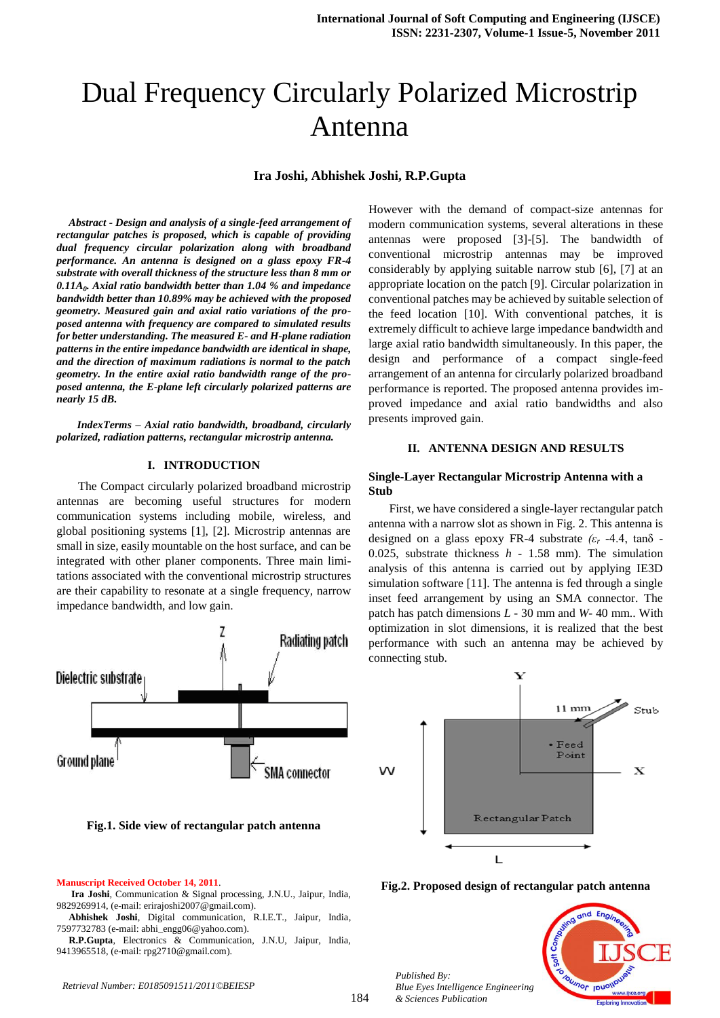# Dual Frequency Circularly Polarized Microstrip Antenna

## **Ira Joshi, Abhishek Joshi, R.P.Gupta**

*Abstract - Design and analysis of a single-feed arrangement of rectangular patches is proposed, which is capable of providing dual frequency circular polarization along with broadband performance. An antenna is designed on a glass epoxy FR-4 substrate with overall thickness of the structure less than 8 mm or 0.11A<sup>0</sup> . Axial ratio bandwidth better than 1.04 % and impedance bandwidth better than 10.89% may be achieved with the proposed geometry. Measured gain and axial ratio variations of the proposed antenna with frequency are compared to simulated results for better understanding. The measured E- and H-plane radiation patterns in the entire impedance bandwidth are identical in shape, and the direction of maximum radiations is normal to the patch geometry. In the entire axial ratio bandwidth range of the proposed antenna, the E-plane left circularly polarized patterns are nearly 15 dB.*

 *IndexTerms – Axial ratio bandwidth, broadband, circularly polarized, radiation patterns, rectangular microstrip antenna.* 

#### **I. INTRODUCTION**

 The Compact circularly polarized broadband microstrip antennas are becoming useful structures for modern communication systems including mobile, wireless, and global positioning systems [1], [2]. Microstrip antennas are small in size, easily mountable on the host surface, and can be integrated with other planer components. Three main limitations associated with the conventional microstrip structures are their capability to resonate at a single frequency, narrow impedance bandwidth, and low gain.



**Fig.1. Side view of rectangular patch antenna**

#### **Manuscript Received October 14, 2011**.

**Ira Joshi**, Communication & Signal processing, J.N.U., Jaipur, India, 9829269914, (e-mail: [erirajoshi2007@gmail.com\)](mailto:erirajoshi2007@gmail.com).

**Abhishek Joshi**, Digital communication, R.I.E.T., Jaipur, India, 7597732783 (e-mail: [abhi\\_engg06@yahoo.com\)](mailto:abhi_engg06@yahoo.com).

**R.P.Gupta**, Electronics & Communication, J.N.U, Jaipur, India, 9413965518, (e-mail: [rpg2710@gmail.com\)](mailto:rpg2710@gmail.com).

However with the demand of compact-size antennas for modern communication systems, several alterations in these antennas were proposed [3]-[5]. The bandwidth of conventional microstrip antennas may be improved considerably by applying suitable narrow stub [6], [7] at an appropriate location on the patch [9]. Circular polarization in conventional patches may be achieved by suitable selection of the feed location [10]. With conventional patches, it is extremely difficult to achieve large impedance bandwidth and large axial ratio bandwidth simultaneously. In this paper, the design and performance of a compact single-feed arrangement of an antenna for circularly polarized broadband performance is reported. The proposed antenna provides improved impedance and axial ratio bandwidths and also presents improved gain.

### **II. ANTENNA DESIGN AND RESULTS**

## **Single-Layer Rectangular Microstrip Antenna with a Stub**

 First, we have considered a single-layer rectangular patch antenna with a narrow slot as shown in Fig. 2. This antenna is designed on a glass epoxy FR-4 substrate *(ε<sup>r</sup> -*4.4, tanδ *-* 0.025, substrate thickness *h -* 1.58 mm). The simulation analysis of this antenna is carried out by applying IE3D simulation software [11]. The antenna is fed through a single inset feed arrangement by using an SMA connector. The patch has patch dimensions *L -* 30 mm and *W-* 40 mm.. With optimization in slot dimensions, it is realized that the best performance with such an antenna may be achieved by connecting stub.



**Fig.2. Proposed design of rectangular patch antenna**

*Published By: Blue Eyes Intelligence Engineering & Sciences Publication* 



*Retrieval Number: E0185091511/2011©BEIESP*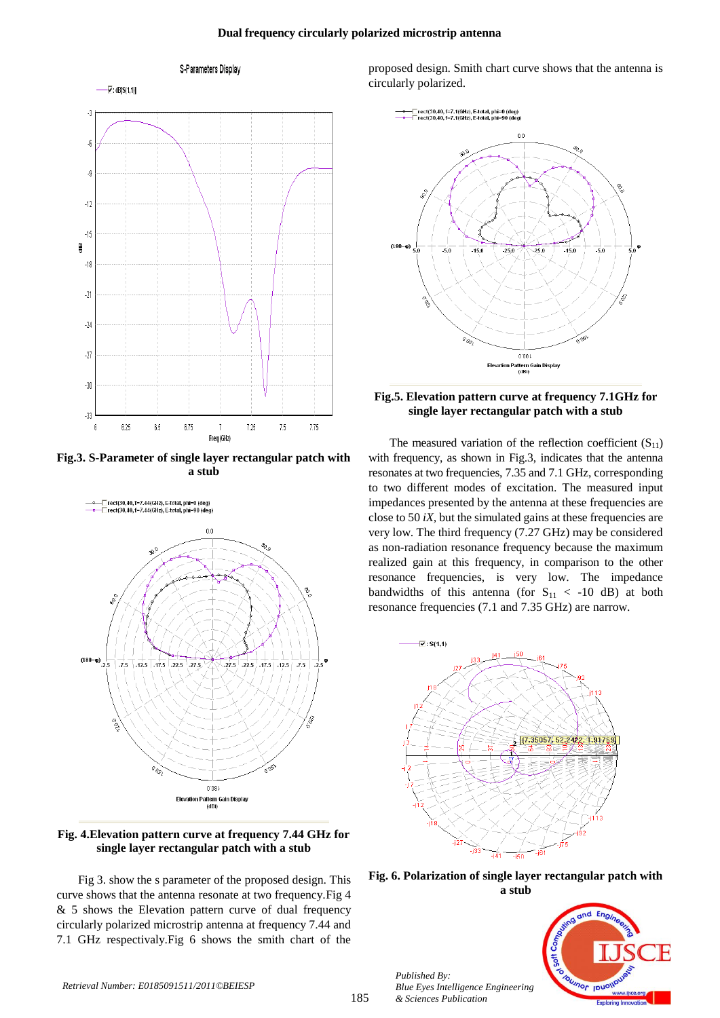#### **Dual frequency circularly polarized microstrip antenna**



**Fig.3. S-Parameter of single layer rectangular patch with a stub**



**Fig. 4.Elevation pattern curve at frequency 7.44 GHz for single layer rectangular patch with a stub**

 Fig 3. show the s parameter of the proposed design. This curve shows that the antenna resonate at two frequency.Fig 4 & 5 shows the Elevation pattern curve of dual frequency circularly polarized microstrip antenna at frequency 7.44 and 7.1 GHz respectivaly.Fig 6 shows the smith chart of the

proposed design. Smith chart curve shows that the antenna is circularly polarized.



## **Fig.5. Elevation pattern curve at frequency 7.1GHz for single layer rectangular patch with a stub**

The measured variation of the reflection coefficient  $(S_{11})$ with frequency, as shown in Fig.3, indicates that the antenna resonates at two frequencies, 7.35 and 7.1 GHz, corresponding to two different modes of excitation. The measured input impedances presented by the antenna at these frequencies are close to 50 *iX,* but the simulated gains at these frequencies are very low. The third frequency (7.27 GHz) may be considered as non-radiation resonance frequency because the maximum realized gain at this frequency, in comparison to the other resonance frequencies, is very low. The impedance bandwidths of this antenna (for  $S_{11} < -10$  dB) at both resonance frequencies (7.1 and 7.35 GHz) are narrow.



**Fig. 6. Polarization of single layer rectangular patch with a stub**



*Published By:*

*& Sciences Publication* 

*Blue Eyes Intelligence Engineering*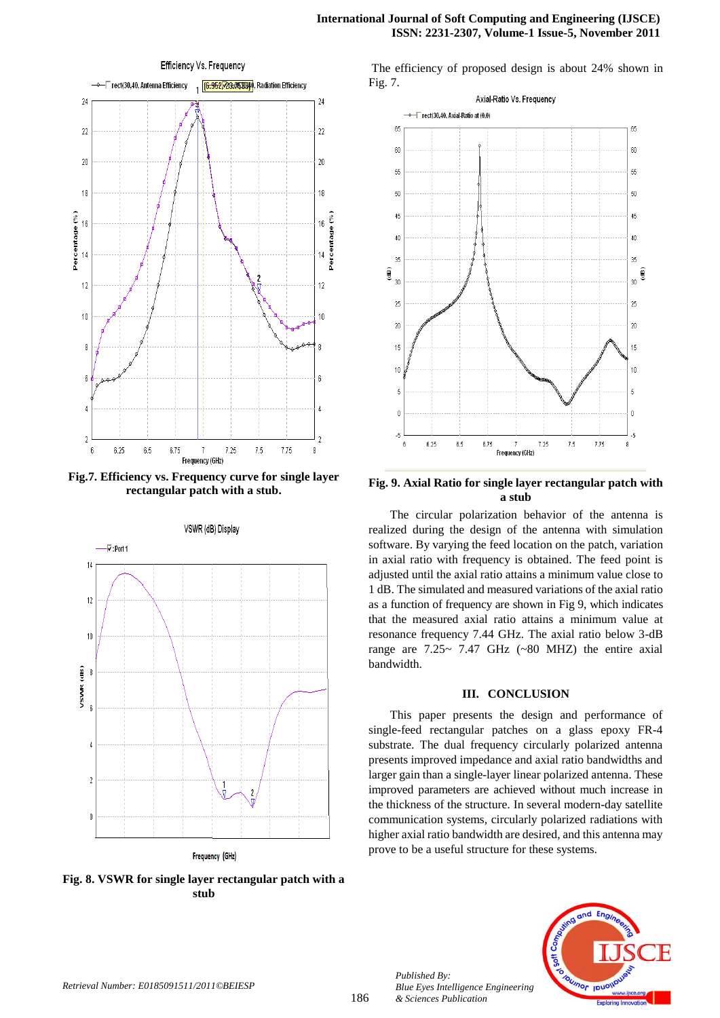## **International Journal of Soft Computing and Engineering (IJSCE) ISSN: 2231-2307, Volume-1 Issue-5, November 2011**



**Fig.7. Efficiency vs. Frequency curve for single layer rectangular patch with a stub.**



**Fig. 8. VSWR for single layer rectangular patch with a stub**

The efficiency of proposed design is about 24% shown in Fig. 7.



**Fig. 9. Axial Ratio for single layer rectangular patch with a stub**

 The circular polarization behavior of the antenna is realized during the design of the antenna with simulation software. By varying the feed location on the patch, variation in axial ratio with frequency is obtained. The feed point is adjusted until the axial ratio attains a minimum value close to 1 dB. The simulated and measured variations of the axial ratio as a function of frequency are shown in Fig 9, which indicates that the measured axial ratio attains a minimum value at resonance frequency 7.44 GHz. The axial ratio below 3-dB range are  $7.25 \sim 7.47$  GHz (~80 MHZ) the entire axial bandwidth.

# **III. CONCLUSION**

 This paper presents the design and performance of single-feed rectangular patches on a glass epoxy FR-4 substrate. The dual frequency circularly polarized antenna presents improved impedance and axial ratio bandwidths and larger gain than a single-layer linear polarized antenna. These improved parameters are achieved without much increase in the thickness of the structure. In several modern-day satellite communication systems, circularly polarized radiations with higher axial ratio bandwidth are desired, and this antenna may prove to be a useful structure for these systems.



186